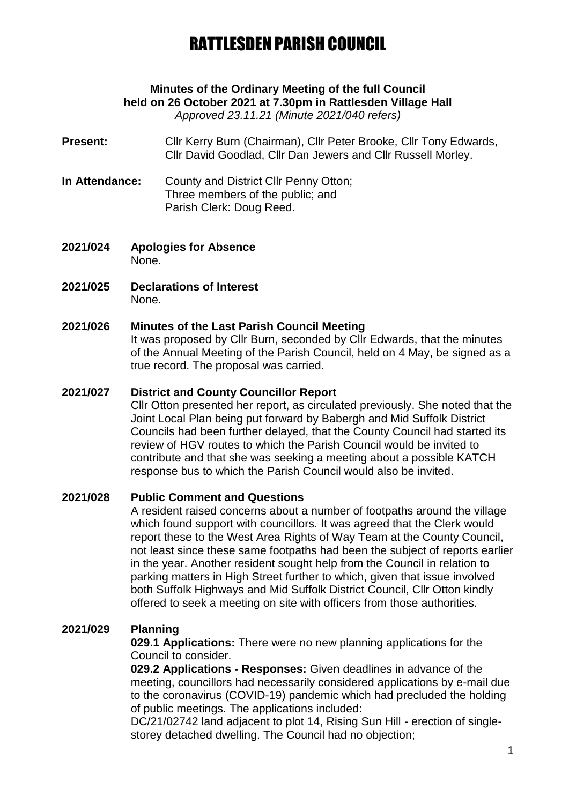# **Minutes of the Ordinary Meeting of the full Council held on 26 October 2021 at 7.30pm in Rattlesden Village Hall**

*Approved 23.11.21 (Minute 2021/040 refers)*

- **Present:** Cllr Kerry Burn (Chairman), Cllr Peter Brooke, Cllr Tony Edwards, Cllr David Goodlad, Cllr Dan Jewers and Cllr Russell Morley.
- **In Attendance:** County and District Cllr Penny Otton; Three members of the public; and Parish Clerk: Doug Reed.
- **2021/024 Apologies for Absence** None.
- **2021/025 Declarations of Interest** None.

#### **2021/026 Minutes of the Last Parish Council Meeting**

It was proposed by Cllr Burn, seconded by Cllr Edwards, that the minutes of the Annual Meeting of the Parish Council, held on 4 May, be signed as a true record. The proposal was carried.

#### **2021/027 District and County Councillor Report**

Cllr Otton presented her report, as circulated previously. She noted that the Joint Local Plan being put forward by Babergh and Mid Suffolk District Councils had been further delayed, that the County Council had started its review of HGV routes to which the Parish Council would be invited to contribute and that she was seeking a meeting about a possible KATCH response bus to which the Parish Council would also be invited.

# **2021/028 Public Comment and Questions**

A resident raised concerns about a number of footpaths around the village which found support with councillors. It was agreed that the Clerk would report these to the West Area Rights of Way Team at the County Council, not least since these same footpaths had been the subject of reports earlier in the year. Another resident sought help from the Council in relation to parking matters in High Street further to which, given that issue involved both Suffolk Highways and Mid Suffolk District Council, Cllr Otton kindly offered to seek a meeting on site with officers from those authorities.

# **2021/029 Planning**

**029.1 Applications:** There were no new planning applications for the Council to consider.

**029.2 Applications - Responses:** Given deadlines in advance of the meeting, councillors had necessarily considered applications by e-mail due to the coronavirus (COVID-19) pandemic which had precluded the holding of public meetings. The applications included:

DC/21/02742 land adjacent to plot 14, Rising Sun Hill - erection of singlestorey detached dwelling. The Council had no objection;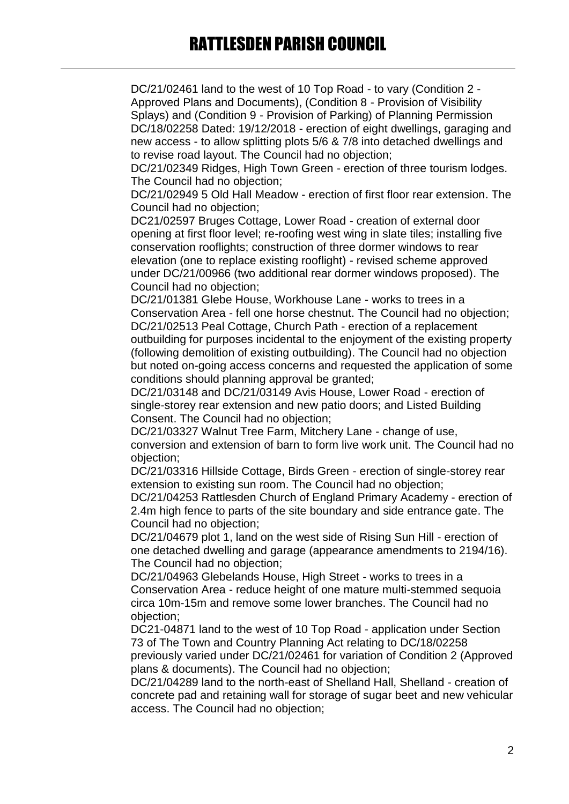DC/21/02461 land to the west of 10 Top Road - to vary (Condition 2 - Approved Plans and Documents), (Condition 8 - Provision of Visibility Splays) and (Condition 9 - Provision of Parking) of Planning Permission DC/18/02258 Dated: 19/12/2018 - erection of eight dwellings, garaging and new access - to allow splitting plots 5/6 & 7/8 into detached dwellings and to revise road layout. The Council had no objection;

DC/21/02349 Ridges, High Town Green - erection of three tourism lodges. The Council had no objection;

DC/21/02949 5 Old Hall Meadow - erection of first floor rear extension. The Council had no objection;

DC21/02597 Bruges Cottage, Lower Road - creation of external door opening at first floor level; re-roofing west wing in slate tiles; installing five conservation rooflights; construction of three dormer windows to rear elevation (one to replace existing rooflight) - revised scheme approved under DC/21/00966 (two additional rear dormer windows proposed). The Council had no objection;

DC/21/01381 Glebe House, Workhouse Lane - works to trees in a Conservation Area - fell one horse chestnut. The Council had no objection; DC/21/02513 Peal Cottage, Church Path - erection of a replacement outbuilding for purposes incidental to the enjoyment of the existing property (following demolition of existing outbuilding). The Council had no objection but noted on-going access concerns and requested the application of some conditions should planning approval be granted;

DC/21/03148 and DC/21/03149 Avis House, Lower Road - erection of single-storey rear extension and new patio doors; and Listed Building Consent. The Council had no objection;

DC/21/03327 Walnut Tree Farm, Mitchery Lane - change of use, conversion and extension of barn to form live work unit. The Council had no objection;

DC/21/03316 Hillside Cottage, Birds Green - erection of single-storey rear extension to existing sun room. The Council had no objection;

DC/21/04253 Rattlesden Church of England Primary Academy - erection of 2.4m high fence to parts of the site boundary and side entrance gate. The Council had no objection;

DC/21/04679 plot 1, land on the west side of Rising Sun Hill - erection of one detached dwelling and garage (appearance amendments to 2194/16). The Council had no objection;

DC/21/04963 Glebelands House, High Street - works to trees in a Conservation Area - reduce height of one mature multi-stemmed sequoia circa 10m-15m and remove some lower branches. The Council had no objection;

DC21-04871 land to the west of 10 Top Road - application under Section 73 of The Town and Country Planning Act relating to DC/18/02258 previously varied under DC/21/02461 for variation of Condition 2 (Approved plans & documents). The Council had no objection;

DC/21/04289 land to the north-east of Shelland Hall, Shelland - creation of concrete pad and retaining wall for storage of sugar beet and new vehicular access. The Council had no objection;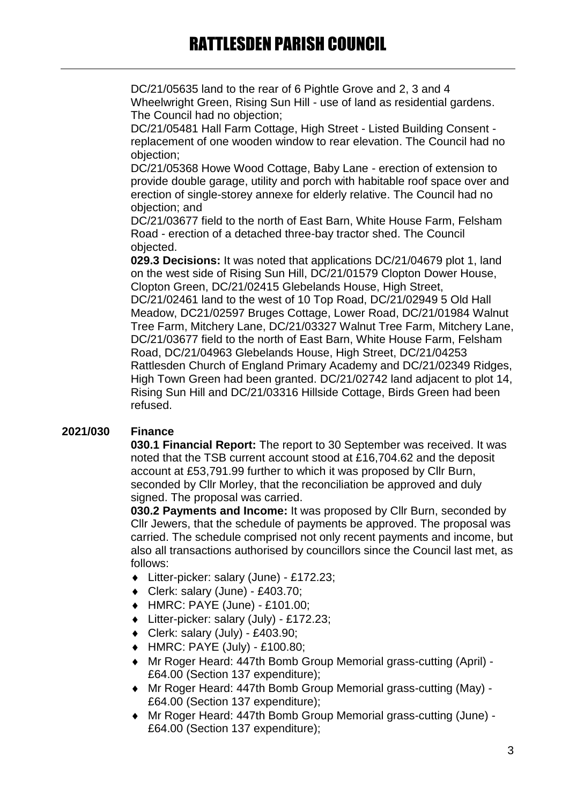DC/21/05635 land to the rear of 6 Pightle Grove and 2, 3 and 4 Wheelwright Green, Rising Sun Hill - use of land as residential gardens. The Council had no objection;

DC/21/05481 Hall Farm Cottage, High Street - Listed Building Consent replacement of one wooden window to rear elevation. The Council had no objection;

DC/21/05368 Howe Wood Cottage, Baby Lane - erection of extension to provide double garage, utility and porch with habitable roof space over and erection of single-storey annexe for elderly relative. The Council had no objection; and

DC/21/03677 field to the north of East Barn, White House Farm, Felsham Road - erection of a detached three-bay tractor shed. The Council objected.

**029.3 Decisions:** It was noted that applications DC/21/04679 plot 1, land on the west side of Rising Sun Hill, DC/21/01579 Clopton Dower House, Clopton Green, DC/21/02415 Glebelands House, High Street, DC/21/02461 land to the west of 10 Top Road, DC/21/02949 5 Old Hall Meadow, DC21/02597 Bruges Cottage, Lower Road, DC/21/01984 Walnut Tree Farm, Mitchery Lane, DC/21/03327 Walnut Tree Farm, Mitchery Lane, DC/21/03677 field to the north of East Barn, White House Farm, Felsham Road, DC/21/04963 Glebelands House, High Street, DC/21/04253 Rattlesden Church of England Primary Academy and DC/21/02349 Ridges, High Town Green had been granted. DC/21/02742 land adjacent to plot 14, Rising Sun Hill and DC/21/03316 Hillside Cottage, Birds Green had been refused.

# **2021/030 Finance**

**030.1 Financial Report:** The report to 30 September was received. It was noted that the TSB current account stood at £16,704.62 and the deposit account at £53,791.99 further to which it was proposed by Cllr Burn, seconded by Cllr Morley, that the reconciliation be approved and duly signed. The proposal was carried.

**030.2 Payments and Income:** It was proposed by Cllr Burn, seconded by Cllr Jewers, that the schedule of payments be approved. The proposal was carried. The schedule comprised not only recent payments and income, but also all transactions authorised by councillors since the Council last met, as follows:

- Litter-picker: salary (June) £172.23;
- Clerk: salary (June) £403.70;
- HMRC: PAYE (June) £101.00;
- Litter-picker: salary (July) £172.23;
- Clerk: salary (July) £403.90;
- HMRC: PAYE (July) £100.80;
- Mr Roger Heard: 447th Bomb Group Memorial grass-cutting (April) £64.00 (Section 137 expenditure);
- Mr Roger Heard: 447th Bomb Group Memorial grass-cutting (May) £64.00 (Section 137 expenditure);
- Mr Roger Heard: 447th Bomb Group Memorial grass-cutting (June) £64.00 (Section 137 expenditure);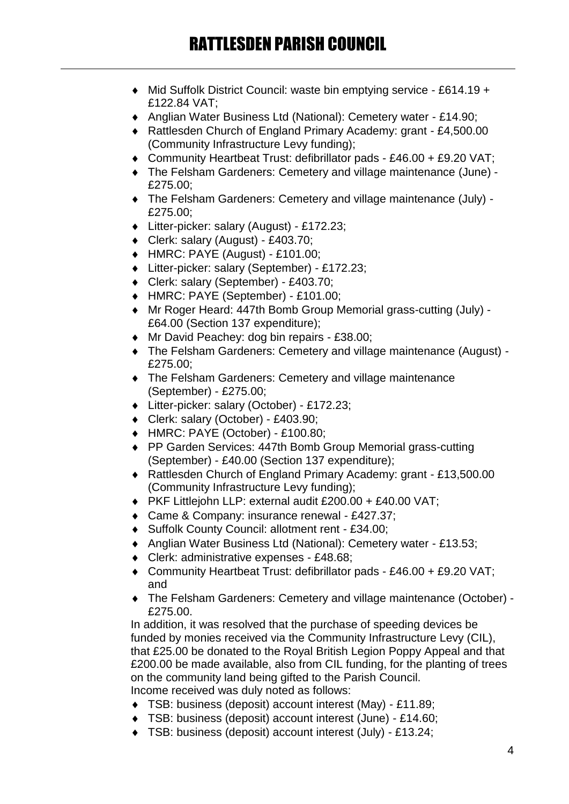- ◆ Mid Suffolk District Council: waste bin emptying service £614.19 + £122.84 VAT;
- Anglian Water Business Ltd (National): Cemetery water £14.90;
- Rattlesden Church of England Primary Academy: grant £4,500.00 (Community Infrastructure Levy funding);
- Community Heartbeat Trust: defibrillator pads £46.00 + £9.20 VAT;
- The Felsham Gardeners: Cemetery and village maintenance (June) £275.00;
- The Felsham Gardeners: Cemetery and village maintenance (July) £275.00;
- Litter-picker: salary (August) £172.23;
- Clerk: salary (August) £403.70;
- HMRC: PAYE (August) £101.00;
- Litter-picker: salary (September) £172.23;
- Clerk: salary (September) £403.70;
- HMRC: PAYE (September) £101.00;
- Mr Roger Heard: 447th Bomb Group Memorial grass-cutting (July) £64.00 (Section 137 expenditure);
- ◆ Mr David Peachey: dog bin repairs £38.00:
- The Felsham Gardeners: Cemetery and village maintenance (August) £275.00;
- The Felsham Gardeners: Cemetery and village maintenance (September) - £275.00;
- Litter-picker: salary (October) £172.23;
- Clerk: salary (October) £403.90;
- HMRC: PAYE (October) £100.80;
- ◆ PP Garden Services: 447th Bomb Group Memorial grass-cutting (September) - £40.00 (Section 137 expenditure);
- Rattlesden Church of England Primary Academy: grant £13,500.00 (Community Infrastructure Levy funding);
- PKF Littlejohn LLP: external audit £200.00 + £40.00 VAT;
- ◆ Came & Company: insurance renewal £427.37;
- ◆ Suffolk County Council: allotment rent £34.00;
- Anglian Water Business Ltd (National): Cemetery water £13.53;
- ◆ Clerk: administrative expenses £48.68;
- Community Heartbeat Trust: defibrillator pads £46.00 + £9.20 VAT; and
- The Felsham Gardeners: Cemetery and village maintenance (October) £275.00.

In addition, it was resolved that the purchase of speeding devices be funded by monies received via the Community Infrastructure Levy (CIL), that £25.00 be donated to the Royal British Legion Poppy Appeal and that £200.00 be made available, also from CIL funding, for the planting of trees on the community land being gifted to the Parish Council. Income received was duly noted as follows:

- TSB: business (deposit) account interest (May) £11.89;
- TSB: business (deposit) account interest (June) £14.60;
- TSB: business (deposit) account interest (July) £13.24;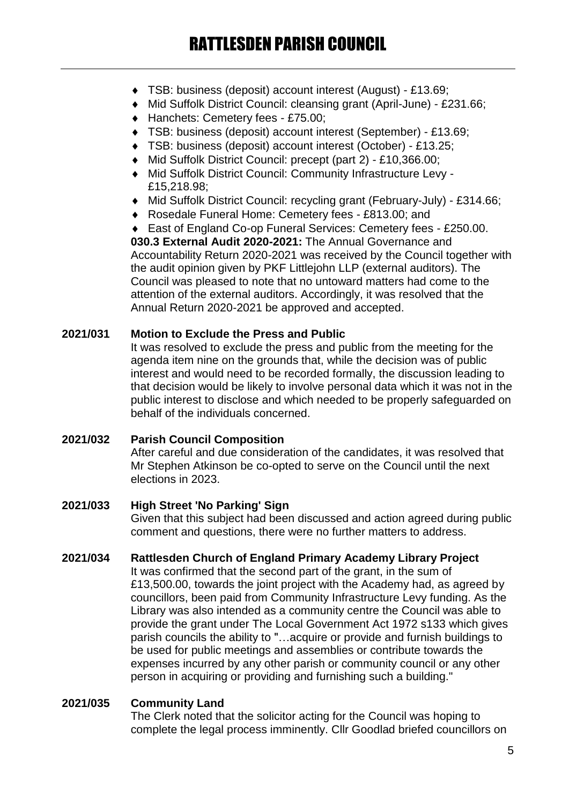- TSB: business (deposit) account interest (August) £13.69;
- Mid Suffolk District Council: cleansing grant (April-June) £231.66;
- ◆ Hanchets: Cemetery fees £75.00;
- TSB: business (deposit) account interest (September) £13.69;
- TSB: business (deposit) account interest (October) £13.25;
- Mid Suffolk District Council: precept (part 2) £10,366.00;
- Mid Suffolk District Council: Community Infrastructure Levy £15,218.98;
- Mid Suffolk District Council: recycling grant (February-July) £314.66;
- Rosedale Funeral Home: Cemetery fees £813.00; and

◆ East of England Co-op Funeral Services: Cemetery fees - £250.00. **030.3 External Audit 2020-2021:** The Annual Governance and Accountability Return 2020-2021 was received by the Council together with the audit opinion given by PKF Littlejohn LLP (external auditors). The Council was pleased to note that no untoward matters had come to the attention of the external auditors. Accordingly, it was resolved that the Annual Return 2020-2021 be approved and accepted.

# **2021/031 Motion to Exclude the Press and Public**

It was resolved to exclude the press and public from the meeting for the agenda item nine on the grounds that, while the decision was of public interest and would need to be recorded formally, the discussion leading to that decision would be likely to involve personal data which it was not in the public interest to disclose and which needed to be properly safeguarded on behalf of the individuals concerned.

# **2021/032 Parish Council Composition**

After careful and due consideration of the candidates, it was resolved that Mr Stephen Atkinson be co-opted to serve on the Council until the next elections in 2023.

# **2021/033 High Street 'No Parking' Sign**

Given that this subject had been discussed and action agreed during public comment and questions, there were no further matters to address.

# **2021/034 Rattlesden Church of England Primary Academy Library Project**

It was confirmed that the second part of the grant, in the sum of £13,500.00, towards the joint project with the Academy had, as agreed by councillors, been paid from Community Infrastructure Levy funding. As the Library was also intended as a community centre the Council was able to provide the grant under The Local Government Act 1972 s133 which gives parish councils the ability to "…acquire or provide and furnish buildings to be used for public meetings and assemblies or contribute towards the expenses incurred by any other parish or community council or any other person in acquiring or providing and furnishing such a building."

# **2021/035 Community Land**

The Clerk noted that the solicitor acting for the Council was hoping to complete the legal process imminently. Cllr Goodlad briefed councillors on